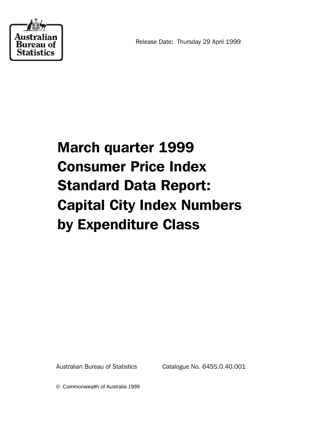

## March quarter 1999 Consumer Price Index Standard Data Report: Capital City Index Numbers by Expenditure Class

Australian Bureau of Statistics Catalogue No. 6455.0.40.001

© Commonwealth of Australia 1999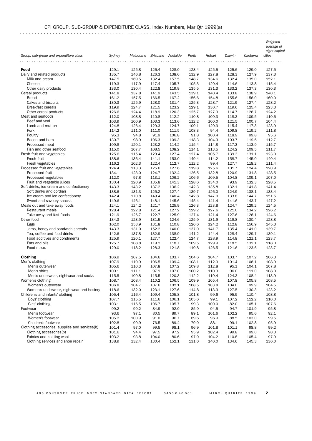## CPI GROUP, SUB-GROUP & EXPENDITURE CLASS, Index Numbers, Mar Qtr 1999(a)

. . . . . . . . . . . . . . . . . . . . . . . . . . . . . . . . . . . . . . . . . . . . . . . . . . . . . . . . . . . . . . . . . . . . . . . . . . . . . . . . . . . . . . . . .

 *Weighted average of*

|                                                |        |                             |       |       |       |        |        |          | eight capit |
|------------------------------------------------|--------|-----------------------------|-------|-------|-------|--------|--------|----------|-------------|
| Group, sub-group and expenditure class         | Sydney | Melbourne Brisbane Adelaide |       |       | Perth | Hobart | Darwin | Canberra | cities      |
|                                                |        |                             |       |       |       |        |        |          |             |
| Food                                           | 129.1  | 125.8                       | 126.4 | 128.0 | 128.4 | 125.5  | 125.6  | 129.0    | 127.5       |
| Dairy and related products                     | 135.7  | 146.8                       | 126.3 | 138.6 | 132.9 | 127.8  | 128.3  | 127.9    | 137.3       |
| Milk and cream                                 | 147.5  | 169.5                       | 132.4 | 157.5 | 148.7 | 134.6  | 132.4  | 135.0    | 152.1       |
| Cheese                                         | 119.3  | 117.9                       | 117.4 | 105.7 | 105.3 | 120.4  | 114.6  | 113.8    | 115.4       |
| Other dairy products                           | 133.0  | 130.4                       | 122.8 | 119.9 | 135.5 | 131.3  | 133.2  | 137.3    | 130.3       |
| Cereal products                                | 141.8  | 137.8                       | 141.9 | 143.5 | 139.1 | 140.4  | 133.8  | 138.9    | 140.1       |
| <b>Bread</b>                                   | 161.2  | 157.5                       | 166.5 | 167.2 | 156.6 | 154.8  | 155.6  | 156.0    | 160.0       |
| Cakes and biscuits                             | 130.3  | 125.9                       | 128.0 | 131.4 | 125.3 | 128.7  | 121.9  | 127.4    | 128.2       |
| <b>Breakfast cereals</b>                       | 119.9  | 124.7                       | 121.5 | 123.2 | 129.1 | 130.7  | 119.6  | 125.4    | 123.3       |
| Other cereal products                          | 126.6  | 124.4                       | 118.9 | 120.3 | 125.7 | 127.9  | 114.7  | 126.7    | 124.2       |
| Meat and seafoods                              | 112.0  | 108.8                       | 110.8 | 112.2 | 110.8 | 109.3  | 118.3  | 109.5    | 110.6       |
| Beef and veal                                  | 103.9  | 100.9                       | 103.3 | 113.6 | 112.2 | 100.0  | 121.5  | 100.7    | 104.4       |
| Lamb and mutton                                | 124.8  | 126.4                       | 129.3 | 124.7 | 109.1 | 120.3  | 115.4  | 117.3    | 123.9       |
| Pork                                           | 114.2  | 111.0                       | 111.0 | 111.5 | 108.3 | 94.4   | 109.8  | 119.2    | 111.8       |
| Poultry                                        | 95.3   | 94.8                        | 91.9  | 106.8 | 91.8  | 100.4  | 118.9  | 99.8     | 95.6        |
| Bacon and ham                                  | 130.7  | 98.9                        | 106.3 | 109.3 | 118.3 | 104.3  | 103.7  | 119.6    | 112.7       |
| Processed meat                                 | 109.8  | 120.1                       | 123.2 | 114.2 | 115.4 | 114.8  | 117.3  | 113.9    | 115.7       |
| Fish and other seafood                         | 115.0  | 107.7                       | 108.5 | 108.2 | 114.1 | 113.5  | 124.2  | 109.5    | 111.7       |
| Fresh fruit and vegetables                     | 125.6  | 115.4                       | 129.4 | 127.4 | 127.4 | 105.7  | 139.3  | 131.1    | 123.0       |
| Fresh fruit                                    | 138.6  | 136.4                       | 141.1 | 153.0 | 149.4 | 114.2  | 158.7  | 145.0    | 140.4       |
| Fresh vegetables                               | 116.2  | 102.3                       | 122.4 | 112.7 | 112.2 | 99.4   | 127.7  | 118.2    | 111.4       |
| Processed fruit and vegetables                 | 124.4  | 113.3                       | 125.6 | 127.6 | 119.8 | 125.6  | 101.7  | 124.4    | 120.9       |
| Processed fruit                                | 134.1  | 123.0                       | 124.7 | 132.4 | 126.5 | 132.8  | 120.9  | 131.8    | 128.5       |
| Processed vegetables                           | 112.0  | 97.8                        | 113.1 | 106.2 | 106.6 | 109.5  | 104.8  | 109.1    | 107.0       |
| Fruit and vegetable juices                     | 130.4  | 120.9                       | 135.8 | 141.3 | 128.6 | 134.0  | 93.9   | 132.3    | 128.5       |
| Soft drinks, ice cream and confectionery       | 143.3  | 143.2                       | 137.2 | 136.2 | 142.3 | 135.8  | 132.1  | 141.8    | 141.4       |
| Soft drinks and cordials                       | 138.6  | 131.3                       | 125.2 | 127.4 | 139.7 | 126.0  | 124.9  | 138.1    | 133.4       |
| Ice cream and ice confectionery                | 142.4  | 170.8                       | 149.4 | 140.4 | 142.8 | 147.0  | 133.8  | 144.7    | 151.5       |
| Sweet and savoury snacks                       | 149.6  | 146.1                       | 148.1 | 145.6 | 145.4 | 141.4  | 141.6  | 143.7    | 147.2       |
| Meals out and take away foods                  | 124.1  | 124.2                       | 121.7 | 125.9 | 126.3 | 123.8  | 124.7  | 129.2    | 124.5       |
| Restaurant meals                               | 128.4  | 122.8                       | 121.4 | 127.2 | 129.2 | 127.6  | 121.0  | 134.2    | 126.2       |
| Take away and fast foods                       | 121.9  | 126.7                       | 122.7 | 125.9 | 127.4 | 121.4  | 127.6  | 126.1    | 124.6       |
| Other food                                     | 134.3  | 123.9                       | 131.5 | 124.6 | 125.9 | 131.9  | 119.8  | 130.4    | 128.8       |
| Eggs                                           | 162.0  | 153.9                       | 131.8 | 110.8 | 126.6 | 124.2  | 112.8  | 156.9    | 145.3       |
| Jams, honey and sandwich spreads               | 143.3  | 131.0                       | 152.2 | 140.0 | 137.0 | 141.7  | 135.4  | 141.0    | 139.7       |
| Tea, coffee and food drinks                    | 142.6  | 137.8                       | 132.9 | 138.9 | 141.2 | 144.4  | 128.4  | 129.7    | 139.1       |
| Food additives and condiments                  | 125.9  | 120.1                       | 127.7 | 122.4 | 124.7 | 128.9  | 114.8  | 121.1    | 123.7       |
| Fats and oils                                  | 125.7  | 108.8                       | 119.2 | 118.7 | 109.5 | 129.9  | 118.5  | 132.1    | 118.0       |
| Food n.e.c.                                    | 129.0  | 118.2                       | 128.3 | 121.8 | 119.8 | 126.5  | 121.6  | 123.6    | 123.7       |
|                                                |        |                             |       |       |       |        |        |          |             |
| <b>Clothing</b>                                | 106.9  | 107.5                       | 104.6 | 103.7 | 104.6 | 104.7  | 103.7  | 107.2    | 106.3       |
| Men's clothing                                 | 107.9  | 110.9                       | 106.5 | 109.4 | 108.1 | 112.9  | 101.4  | 106.1    | 108.9       |
| Men's outerwear                                | 105.6  | 110.3                       | 107.8 | 107.2 | 109.8 | 112.8  | 95.1   | 104.1    | 107.8       |
| Men's shirts                                   | 109.1  | 111.1                       | 97.9  | 107.0 | 100.2 | 110.3  | 96.0   | 111.0    | 108.0       |
| Men's underwear, nightwear and socks           | 115.5  | 109.8                       | 115.5 | 120.3 | 112.2 | 119.4  | 124.3  | 108.4    | 113.9       |
| Women's clothing                               | 108.7  | 108.4                       | 110.2 | 106.5 | 109.9 | 105.4  | 107.8  | 105.8    | 108.5       |
| Women's outerwear                              | 106.8  | 104.7                       | 107.6 | 102.1 | 108.5 | 103.8  | 104.0  | 99.9     | 104.5       |
| Women's underwear, nightwear and hosiery       | 118.6  | 132.0                       | 123.1 | 127.6 | 114.8 | 113.3  | 127.5  | 130.3    | 123.2       |
| Children's and infants' clothing               | 105.4  | 116.4                       | 109.4 | 105.8 | 101.8 | 99.6   | 95.5   | 110.4    | 108.8       |
| Boys' clothing                                 | 107.7  | 115.5                       | 111.6 | 106.1 | 105.6 | 99.1   | 107.2  | 112.2    | 110.0       |
| Girls' clothing                                | 103.1  | 116.5                       | 106.7 | 105.7 | 99.3  | 100.0  | 82.0   | 105.1    | 107.6       |
| Footwear                                       | 99.2   | 99.2                        | 84.9  | 92.0  | 85.9  | 94.5   | 94.7   | 101.9    | 95.8        |
| Men's footwear                                 | 93.6   | 97.1                        | 80.5  | 89.7  | 89.1  | 101.6  | 102.2  | 95.6     | 92.1        |
| Women's footwear                               | 105.2  | 100.9                       | 91.0  | 96.7  | 89.6  | 96.9   | 88.5   | 103.0    | 99.5        |
| Children's footwear                            | 102.8  | 99.9                        | 76.5  | 89.4  | 79.0  | 88.1   | 99.1   | 102.8    | 95.9        |
| Clothing accessories, supplies and services(b) | 101.4  | 97.0                        | 99.5  | 98.1  | 96.9  | 101.8  | 101.1  | 98.8     | 99.2        |
| Clothing accessories(b)                        | 101.6  | 94.4                        | 97.5  | 97.2  | 95.9  | 102.4  | 99.8   | 99.0     | 98.3        |
| Fabrics and knitting wool                      | 103.2  | 93.8                        | 104.0 | 80.6  | 97.0  | 104.2  | 110.8  | 105.4    | 97.9        |
| Clothing services and shoe repair              | 138.9  | 132.4                       | 130.4 | 152.1 | 131.0 | 140.0  | 134.6  | 145.3    | 136.0       |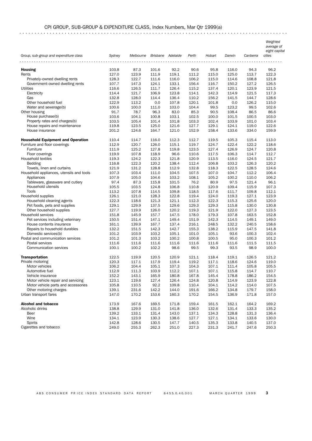## CPI GROUP, SUB-GROUP & EXPENDITURE CLASS, Index Numbers, Mar Qtr 1999(a)

. . . . . . . . . . . . . . . . . . . . . . . . . . . . . . . . . . . . . . . . . . . . . . . . . . . . . . . . . . . . . . . . . . . . . . . . . . . . . . . . . . . . . . . . .

| Weighted   |  |
|------------|--|
| average of |  |

## *eight capital*

|                                          |        |                             |       |       |       |        |        |          | eignt capite |
|------------------------------------------|--------|-----------------------------|-------|-------|-------|--------|--------|----------|--------------|
| Group, sub-group and expenditure class   | Sydney | Melbourne Brisbane Adelaide |       |       | Perth | Hobart | Darwin | Canberra | cities       |
|                                          |        |                             |       |       |       |        |        |          |              |
| <b>Housing</b>                           | 103.8  | 87.3                        | 101.6 | 92.2  | 90.6  | 95.8   | 116.0  | 94.3     | 96.2         |
| Rents                                    | 127.0  | 123.9                       | 111.9 | 119.1 | 111.2 | 115.0  | 125.0  | 113.7    | 122.3        |
| Privately-owned dwelling rents           | 128.3  | 122.7                       | 111.6 | 116.0 | 106.2 | 115.0  | 114.6  | 108.8    | 121.8        |
| Government-owned dwelling rents          | 107.7  | 147.3                       | 124.1 | 133.1 | 156.4 | 116.7  | 150.2  | 127.2    | 126.5        |
| <b>Utilities</b>                         | 116.6  | 126.5                       | 111.7 | 126.4 | 115.2 | 137.4  | 120.1  | 123.9    | 121.5        |
| Electricity                              | 114.4  | 121.7                       | 106.9 | 123.8 | 114.1 | 142.3  | 114.9  | 121.5    | 117.3        |
| Gas                                      | 132.8  | 128.0                       | 114.4 | 136.4 | 110.2 | 156.2  | 141.5  | 144.7    | 128.6        |
| Other household fuel                     | 122.9  | 113.2                       | 0.0   | 107.8 | 120.1 | 101.8  | 0.0    | 126.2    | 115.0        |
| Water and sewerage(b)                    | 100.6  | 100.0                       | 111.0 | 103.0 | 104.4 | 99.5   | 123.2  | 99.5     | 102.6        |
| Other housing                            | 91.7   | 78.7                        | 96.3  | 83.0  | 85.3  | 90.5   | 108.4  | 86.5     | 86.6         |
| House purchase(b)                        | 103.6  | 104.1                       | 100.8 | 103.1 | 102.5 | 100.0  | 101.5  | 100.5    | 103.0        |
| Property rates and charges(b)            | 103.5  | 105.4                       | 101.4 | 101.8 | 103.3 | 102.4  | 103.9  | 101.0    | 103.4        |
| House repairs and maintenance            | 119.8  | 123.5                       | 125.0 | 121.6 | 127.7 | 129.1  | 124.1  | 119.0    | 122.6        |
| House insurance                          | 201.2  | 124.6                       | 164.7 | 121.0 | 152.9 | 158.4  | 133.6  | 334.0    | 159.9        |
|                                          |        |                             |       |       |       |        |        |          |              |
| <b>Household Equipment and Operation</b> | 110.4  | 114.7                       | 116.0 | 112.3 | 112.7 | 119.5  | 105.3  | 115.4    | 113.0        |
| Furniture and floor coverings            | 112.9  | 120.7                       | 126.0 | 115.1 | 119.7 | 124.7  | 122.4  | 122.2    | 118.6        |
| Furniture                                | 111.9  | 125.2                       | 127.8 | 119.8 | 123.5 | 127.4  | 126.9  | 124.7    | 120.8        |
| Floor coverings                          | 119.9  | 107.8                       | 118.9 | 96.6  | 110.6 | 117.5  | 106.3  | 114.7    | 112.7        |
| Household textiles                       | 119.3  | 124.2                       | 122.3 | 121.8 | 120.9 | 113.5  | 116.0  | 124.5    | 121.7        |
| Bedding                                  | 116.8  | 122.3                       | 120.2 | 138.4 | 112.4 | 106.8  | 103.2  | 126.3    | 120.2        |
| Towels, linen and curtains               | 121.9  | 131.2                       | 128.8 | 112.9 | 132.8 | 118.3  | 122.5  | 128.5    | 124.6        |
| Household appliances, utensils and tools | 107.3  | 103.4                       | 111.0 | 104.5 | 107.5 | 107.0  | 104.7  | 112.2    | 106.4        |
| Appliances                               | 107.9  | 105.0                       | 104.6 | 103.2 | 108.1 | 105.2  | 100.2  | 110.0    | 106.2        |
| Tableware, glassware and cutlery         | 97.4   | 87.3                        | 115.8 | 101.5 | 76.2  | 80.9   | 97.5   | 121.4    | 96.1         |
| Household utensils                       | 105.5  | 103.5                       | 124.8 | 106.8 | 110.8 | 120.9  | 109.4  | 115.9    | 107.3        |
| Tools                                    | 113.2  | 107.8                       | 114.5 | 109.8 | 118.5 | 117.6  | 111.7  | 109.8    | 112.1        |
| Household supplies                       | 126.1  | 121.0                       | 128.3 | 122.8 | 119.4 | 124.0  | 119.3  | 127.1    | 123.9        |
| Household cleaning agents                | 122.3  | 118.6                       | 121.3 | 121.1 | 112.3 | 122.3  | 115.3  | 125.6    | 120.0        |
| Pet foods, pets and supplies             | 129.1  | 129.9                       | 137.5 | 129.6 | 129.3 | 129.3  | 115.8  | 130.0    | 130.8        |
| Other household supplies                 | 127.7  | 119.9                       | 126.0 | 120.2 | 119.3 | 121.9  | 122.0  | 127.3    | 123.5        |
| Household services                       | 151.8  | 145.9                       | 157.7 | 147.5 | 178.0 | 179.3  | 107.8  | 163.5    | 152.8        |
| Pet services including veterinary        | 150.5  | 151.4                       | 147.1 | 149.4 | 151.9 | 142.3  | 114.5  | 149.1    | 149.0        |
| House contents insurance                 | 161.1  | 139.9                       | 167.7 | 137.4 | 216.1 | 248.5  | 132.2  | 240.5    | 158.6        |
| Repairs to household durables            | 132.2  | 151.5                       | 142.3 | 142.7 | 155.3 | 138.2  | 115.9  | 147.5    | 141.8        |
| Domestic services(b)                     | 101.2  | 103.9                       | 103.2 | 105.1 | 101.0 | 105.1  | 93.6   | 100.3    | 102.4        |
| Postal and communication services        | 101.2  | 101.3                       | 103.2 | 100.2 | 100.8 | 100.5  | 95.0   | 100.3    | 101.2        |
| Postal services                          | 111.6  | 111.6                       | 111.6 | 111.6 | 111.6 | 111.6  | 111.6  | 111.5    | 111.5        |
| Communication services                   | 100.1  | 100.2                       | 102.2 | 98.6  | 99.5  | 99.3   | 93.5   | 98.9     | 100.0        |
|                                          |        |                             |       |       |       |        |        |          |              |
| <b>Transportation</b>                    | 122.5  | 119.9                       | 120.5 | 120.9 | 121.1 | 118.4  | 119.1  | 126.5    | 121.2        |
| Private motoring                         | 120.3  | 117.1                       | 117.9 | 119.4 | 119.2 | 117.1  | 118.6  | 124.6    | 119.0        |
| Motor vehicles                           | 106.2  | 104.4                       | 105.1 | 107.3 | 104.3 | 107.1  | 111.4  | 105.8    | 105.5        |
| Automotive fuel                          | 112.9  | 111.3                       | 103.9 | 112.2 | 107.1 | 107.1  | 115.8  | 114.7    | 110.7        |
| Vehicle insurance                        | 152.2  | 143.1                       | 165.9 | 180.8 | 167.8 | 145.4  | 178.8  | 186.2    | 154.5        |
| Motor vehicle repair and servicing       | 123.1  | 119.6                       | 127.4 | 126.4 | 124.8 | 120.8  | 114.9  | 123.9    | 122.8        |
| Motor vehicle parts and accessories      | 105.8  | 110.5                       | 92.2  | 109.8 | 110.4 | 104.1  | 114.2  | 114.0    | 107.5        |
| Other motoring charges                   | 139.1  | 231.6                       | 142.2 | 144.0 | 191.6 | 166.2  | 134.8  | 179.7    | 158.0        |
| Urban transport fares                    | 147.0  | 170.2                       | 153.6 | 160.3 | 170.2 | 154.5  | 136.9  | 171.8    | 157.0        |
|                                          |        |                             |       |       |       |        |        |          |              |
| <b>Alcohol and tobacco</b>               | 173.9  | 167.6                       | 169.5 | 171.8 | 159.4 | 161.5  | 162.1  | 164.2    | 169.2        |
| Alcoholic drinks                         | 138.8  | 129.9                       | 131.0 | 141.8 | 136.0 | 132.6  | 131.4  | 133.3    | 135.2        |
| Beer                                     | 139.2  | 133.1                       | 131.4 | 143.0 | 137.1 | 134.3  | 128.8  | 131.3    | 136.4        |
| Wine                                     | 134.1  | 123.9                       | 130.3 | 138.6 | 127.7 | 127.1  | 134.1  | 133.6    | 130.0        |
| <b>Spirits</b>                           | 142.8  | 128.6                       | 130.5 | 147.7 | 140.5 | 135.3  | 133.8  | 140.5    | 137.0        |
| Cigarettes and tobacco                   | 249.0  | 255.3                       | 262.3 | 251.0 | 227.3 | 231.3  | 241.7  | 247.6    | 250.3        |
|                                          |        |                             |       |       |       |        |        |          |              |